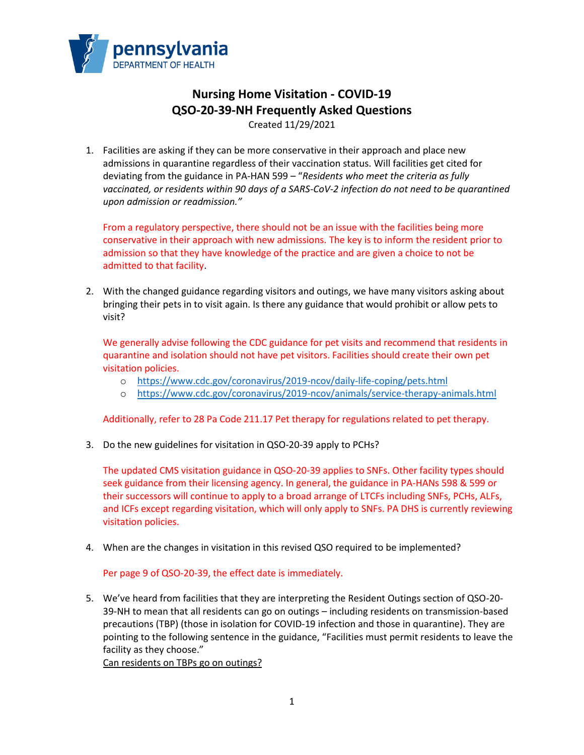

## **Nursing Home Visitation - COVID-19 QSO-20-39-NH Frequently Asked Questions** Created 11/29/2021

1. Facilities are asking if they can be more conservative in their approach and place new admissions in quarantine regardless of their vaccination status. Will facilities get cited for deviating from the guidance in PA-HAN 599 – "*Residents who meet the criteria as fully vaccinated, or residents within 90 days of a SARS-CoV-2 infection do not need to be quarantined upon admission or readmission."*

From a regulatory perspective, there should not be an issue with the facilities being more conservative in their approach with new admissions. The key is to inform the resident prior to admission so that they have knowledge of the practice and are given a choice to not be admitted to that facility.

2. With the changed guidance regarding visitors and outings, we have many visitors asking about bringing their pets in to visit again. Is there any guidance that would prohibit or allow pets to visit?

We generally advise following the CDC guidance for pet visits and recommend that residents in quarantine and isolation should not have pet visitors. Facilities should create their own pet visitation policies.

- o <https://www.cdc.gov/coronavirus/2019-ncov/daily-life-coping/pets.html>
- o <https://www.cdc.gov/coronavirus/2019-ncov/animals/service-therapy-animals.html>

Additionally, refer to 28 Pa Code 211.17 Pet therapy for regulations related to pet therapy.

3. Do the new guidelines for visitation in QSO-20-39 apply to PCHs?

The updated CMS visitation guidance in QSO-20-39 applies to SNFs. Other facility types should seek guidance from their licensing agency. In general, the guidance in PA-HANs 598 & 599 or their successors will continue to apply to a broad arrange of LTCFs including SNFs, PCHs, ALFs, and ICFs except regarding visitation, which will only apply to SNFs. PA DHS is currently reviewing visitation policies.

4. When are the changes in visitation in this revised QSO required to be implemented?

Per page 9 of QSO-20-39, the effect date is immediately.

5. We've heard from facilities that they are interpreting the Resident Outings section of QSO-20- 39-NH to mean that all residents can go on outings – including residents on transmission-based precautions (TBP) (those in isolation for COVID-19 infection and those in quarantine). They are pointing to the following sentence in the guidance, "Facilities must permit residents to leave the facility as they choose."

Can residents on TBPs go on outings?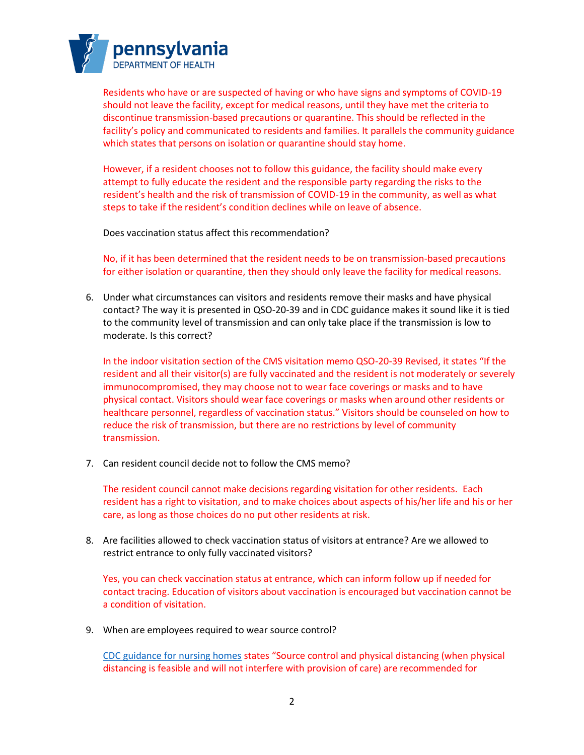

Residents who have or are suspected of having or who have signs and symptoms of COVID-19 should not leave the facility, except for medical reasons, until they have met the criteria to discontinue transmission-based precautions or quarantine. This should be reflected in the facility's policy and communicated to residents and families. It parallels the community guidance which states that persons on isolation or quarantine should stay home.

However, if a resident chooses not to follow this guidance, the facility should make every attempt to fully educate the resident and the responsible party regarding the risks to the resident's health and the risk of transmission of COVID-19 in the community, as well as what steps to take if the resident's condition declines while on leave of absence.

Does vaccination status affect this recommendation?

No, if it has been determined that the resident needs to be on transmission-based precautions for either isolation or quarantine, then they should only leave the facility for medical reasons.

6. Under what circumstances can visitors and residents remove their masks and have physical contact? The way it is presented in QSO-20-39 and in CDC guidance makes it sound like it is tied to the community level of transmission and can only take place if the transmission is low to moderate. Is this correct?

In the indoor visitation section of the CMS visitation memo QSO-20-39 Revised, it states "If the resident and all their visitor(s) are fully vaccinated and the resident is not moderately or severely immunocompromised, they may choose not to wear face coverings or masks and to have physical contact. Visitors should wear face coverings or masks when around other residents or healthcare personnel, regardless of vaccination status." Visitors should be counseled on how to reduce the risk of transmission, but there are no restrictions by level of community transmission.

7. Can resident council decide not to follow the CMS memo?

The resident council cannot make decisions regarding visitation for other residents. Each resident has a right to visitation, and to make choices about aspects of his/her life and his or her care, as long as those choices do no put other residents at risk.

8. Are facilities allowed to check vaccination status of visitors at entrance? Are we allowed to restrict entrance to only fully vaccinated visitors?

Yes, you can check vaccination status at entrance, which can inform follow up if needed for contact tracing. Education of visitors about vaccination is encouraged but vaccination cannot be a condition of visitation.

9. When are employees required to wear source control?

[CDC guidance for nursing homes](https://www.cdc.gov/coronavirus/2019-ncov/hcp/infection-control-recommendations.html?CDC_AA_refVal=https%3A%2F%2Fwww.cdc.gov%2Fcoronavirus%2F2019-ncov%2Fhcp%2Finfection-control-after-vaccination.html) states "Source control and physical distancing (when physical distancing is feasible and will not interfere with provision of care) are recommended for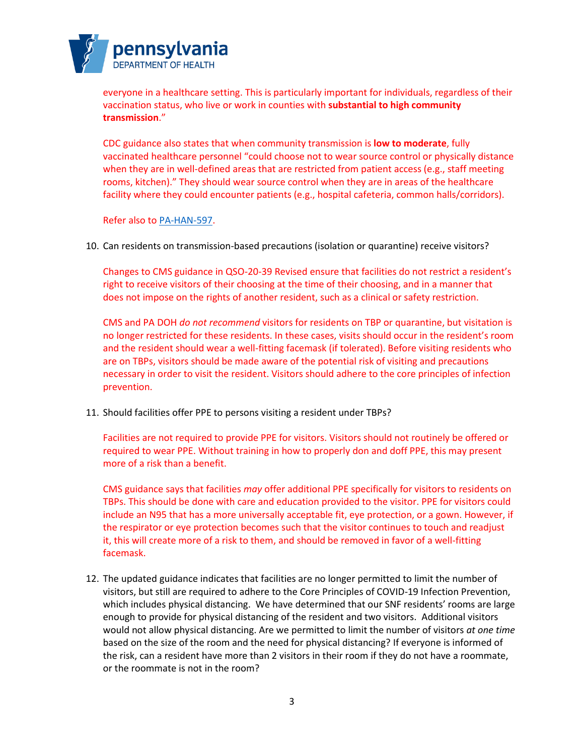

everyone in a healthcare setting. This is particularly important for individuals, regardless of their vaccination status, who live or work in counties with **substantial to high community transmission**."

CDC guidance also states that when community transmission is **low to moderate**, fully vaccinated healthcare personnel "could choose not to wear source control or physically distance when they are in well-defined areas that are restricted from patient access (e.g., staff meeting rooms, kitchen)." They should wear source control when they are in areas of the healthcare facility where they could encounter patients (e.g., hospital cafeteria, common halls/corridors).

Refer also to [PA-HAN-597.](https://www.health.pa.gov/topics/Documents/HAN/2021-597-9-21-UPD-IPC%20for%20Healthcare.pdf)

10. Can residents on transmission-based precautions (isolation or quarantine) receive visitors?

Changes to CMS guidance in QSO-20-39 Revised ensure that facilities do not restrict a resident's right to receive visitors of their choosing at the time of their choosing, and in a manner that does not impose on the rights of another resident, such as a clinical or safety restriction.

CMS and PA DOH *do not recommend* visitors for residents on TBP or quarantine, but visitation is no longer restricted for these residents. In these cases, visits should occur in the resident's room and the resident should wear a well-fitting facemask (if tolerated). Before visiting residents who are on TBPs, visitors should be made aware of the potential risk of visiting and precautions necessary in order to visit the resident. Visitors should adhere to the core principles of infection prevention.

11. Should facilities offer PPE to persons visiting a resident under TBPs?

Facilities are not required to provide PPE for visitors. Visitors should not routinely be offered or required to wear PPE. Without training in how to properly don and doff PPE, this may present more of a risk than a benefit.

CMS guidance says that facilities *may* offer additional PPE specifically for visitors to residents on TBPs. This should be done with care and education provided to the visitor. PPE for visitors could include an N95 that has a more universally acceptable fit, eye protection, or a gown. However, if the respirator or eye protection becomes such that the visitor continues to touch and readjust it, this will create more of a risk to them, and should be removed in favor of a well-fitting facemask.

12. The updated guidance indicates that facilities are no longer permitted to limit the number of visitors, but still are required to adhere to the Core Principles of COVID-19 Infection Prevention, which includes physical distancing. We have determined that our SNF residents' rooms are large enough to provide for physical distancing of the resident and two visitors. Additional visitors would not allow physical distancing. Are we permitted to limit the number of visitors *at one time* based on the size of the room and the need for physical distancing? If everyone is informed of the risk, can a resident have more than 2 visitors in their room if they do not have a roommate, or the roommate is not in the room?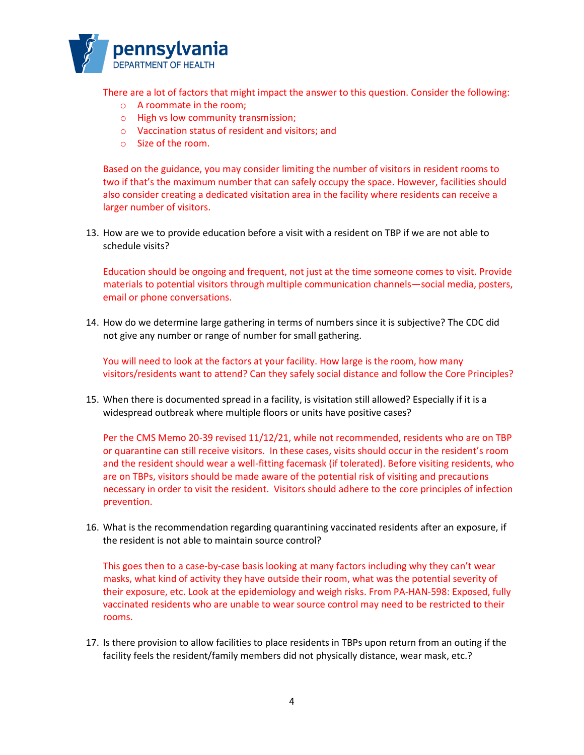

There are a lot of factors that might impact the answer to this question. Consider the following:

- o A roommate in the room;
- o High vs low community transmission;
- o Vaccination status of resident and visitors; and
- o Size of the room.

Based on the guidance, you may consider limiting the number of visitors in resident rooms to two if that's the maximum number that can safely occupy the space. However, facilities should also consider creating a dedicated visitation area in the facility where residents can receive a larger number of visitors.

13. How are we to provide education before a visit with a resident on TBP if we are not able to schedule visits?

Education should be ongoing and frequent, not just at the time someone comes to visit. Provide materials to potential visitors through multiple communication channels—social media, posters, email or phone conversations.

14. How do we determine large gathering in terms of numbers since it is subjective? The CDC did not give any number or range of number for small gathering.

You will need to look at the factors at your facility. How large is the room, how many visitors/residents want to attend? Can they safely social distance and follow the Core Principles?

15. When there is documented spread in a facility, is visitation still allowed? Especially if it is a widespread outbreak where multiple floors or units have positive cases?

Per the CMS Memo 20-39 revised 11/12/21, while not recommended, residents who are on TBP or quarantine can still receive visitors. In these cases, visits should occur in the resident's room and the resident should wear a well-fitting facemask (if tolerated). Before visiting residents, who are on TBPs, visitors should be made aware of the potential risk of visiting and precautions necessary in order to visit the resident. Visitors should adhere to the core principles of infection prevention.

16. What is the recommendation regarding quarantining vaccinated residents after an exposure, if the resident is not able to maintain source control?

This goes then to a case-by-case basis looking at many factors including why they can't wear masks, what kind of activity they have outside their room, what was the potential severity of their exposure, etc. Look at the epidemiology and weigh risks. From PA-HAN-598: Exposed, fully vaccinated residents who are unable to wear source control may need to be restricted to their rooms.

17. Is there provision to allow facilities to place residents in TBPs upon return from an outing if the facility feels the resident/family members did not physically distance, wear mask, etc.?